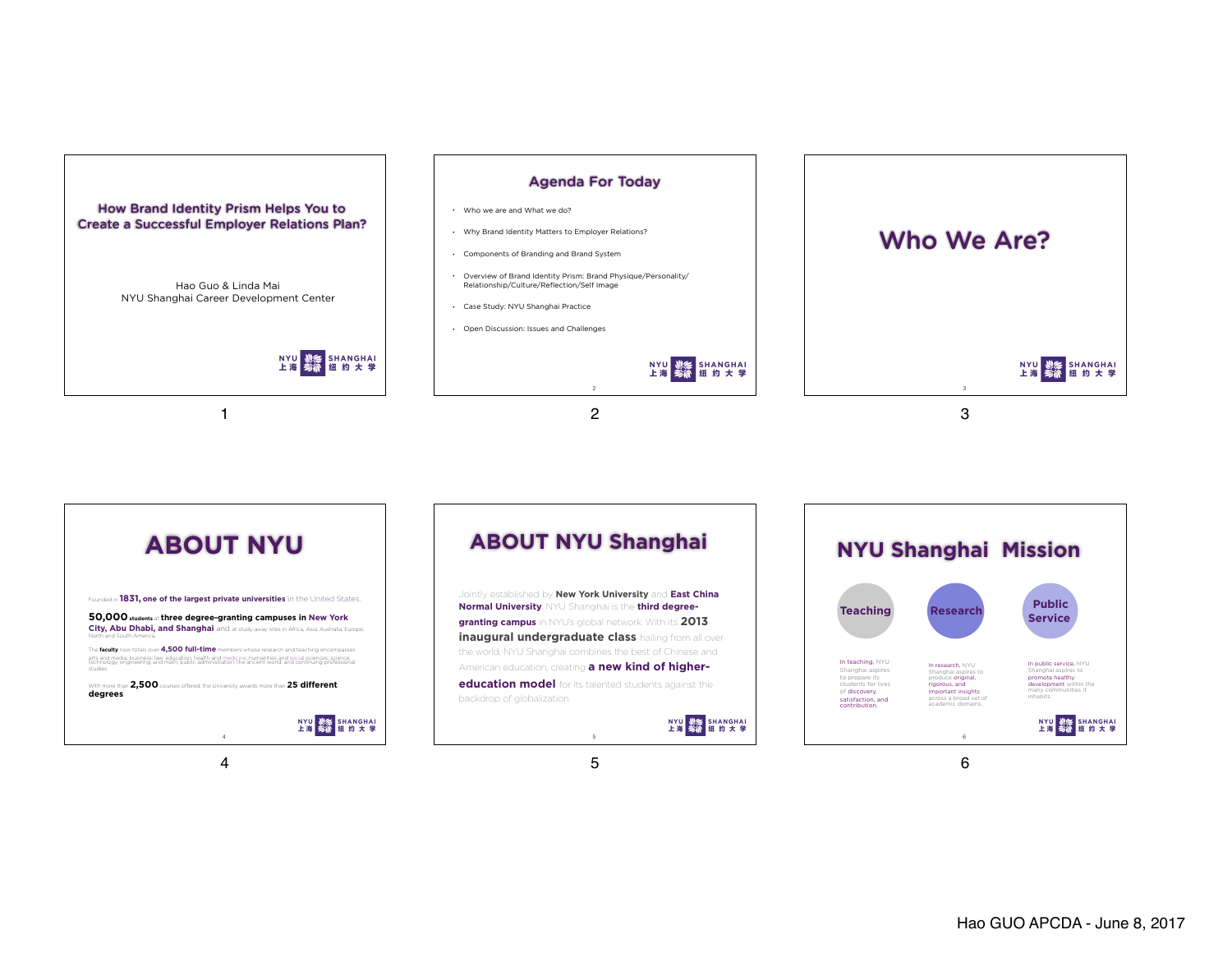



5

6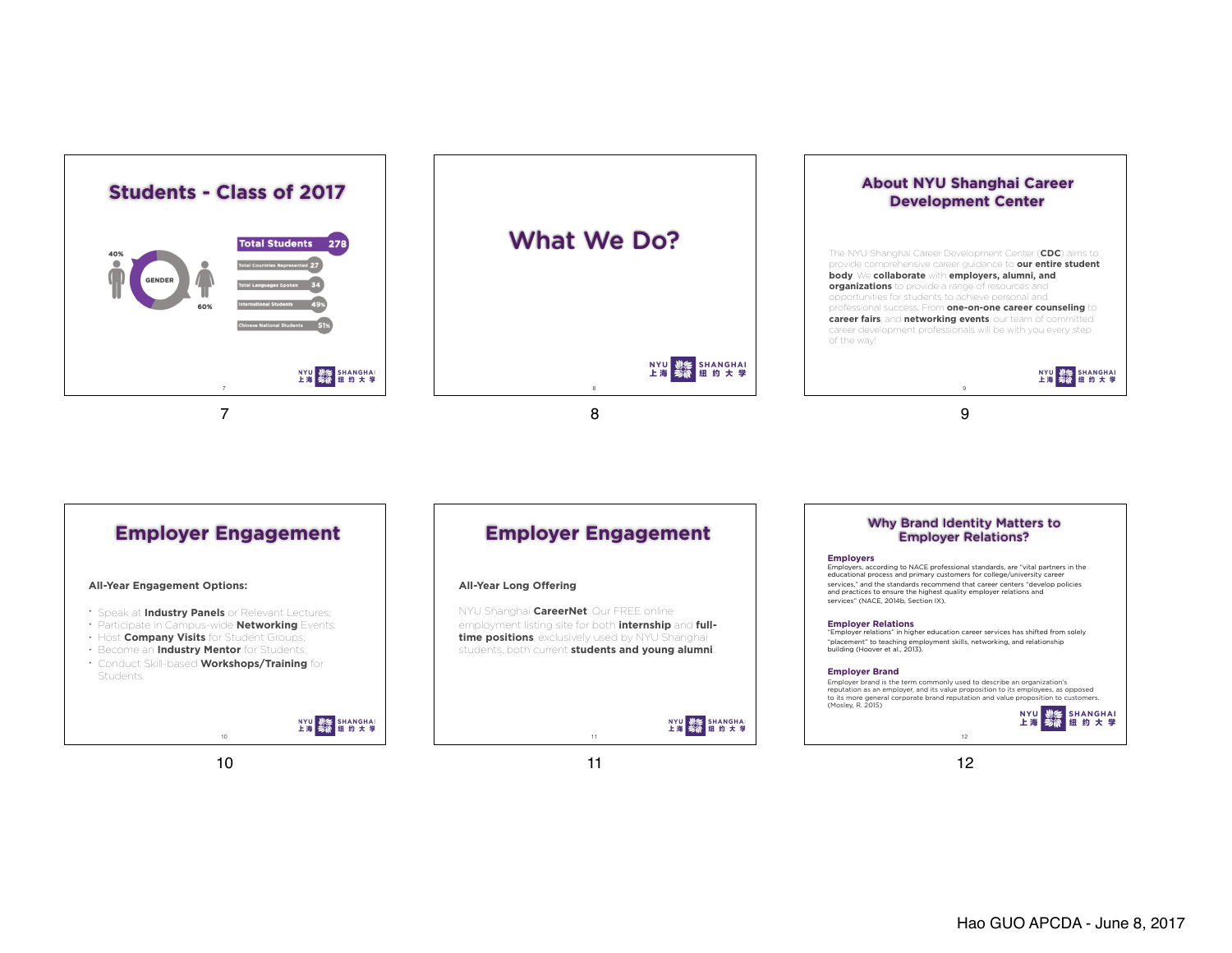

# **Employer Engagement**

### **All-Year Engagement Options:**

- Speak at **Industry Panels** or Relevant Lectures;
- Participate in Campus-wide **Networking** Events;
- Host **Company Visits** for Student Groups;
- Become an **Industry Mentor** for Students;
- Conduct Skill-based **Workshops/Training** for Students.

# NYU VICE SHANGHAL<br>上海 参<mark>術</mark> 紐 約 大 学



# **Employer Engagement**

### **All-Year Long Offering**

NYU Shanghai **CareerNet**: Our FREE online employment listing site for both **internship** and **fulltime positions**, exclusively used by NYU Shanghai students, both current **students and young alumni**.

> 11 11

NYU NE SHANGHAI

### Why Brand Identity Matters to Employer Relations?

#### **Employers**

Employers, according to NACE professional standards, are "vital partners in the educational process and primary customers for college/university career services," and the standards recommend that career centers "develop policies and practices to ensure the highest quality employer relations and services" (NACE, 2014b, Section IX).

#### **Employer Relations**

"Employer relations" in higher education career services has shifted from solely "placement" to teaching employment skills, networking, and relationship building (Hoover et al., 2013).

#### **Employer Brand**

Employer brand is the term commonly used to describe an organization's reputation as an employer, and its value proposition to its employees, as opposed to its more general corporate brand reputation and value proposition to customers. (Mosley, R. 2015)



12 12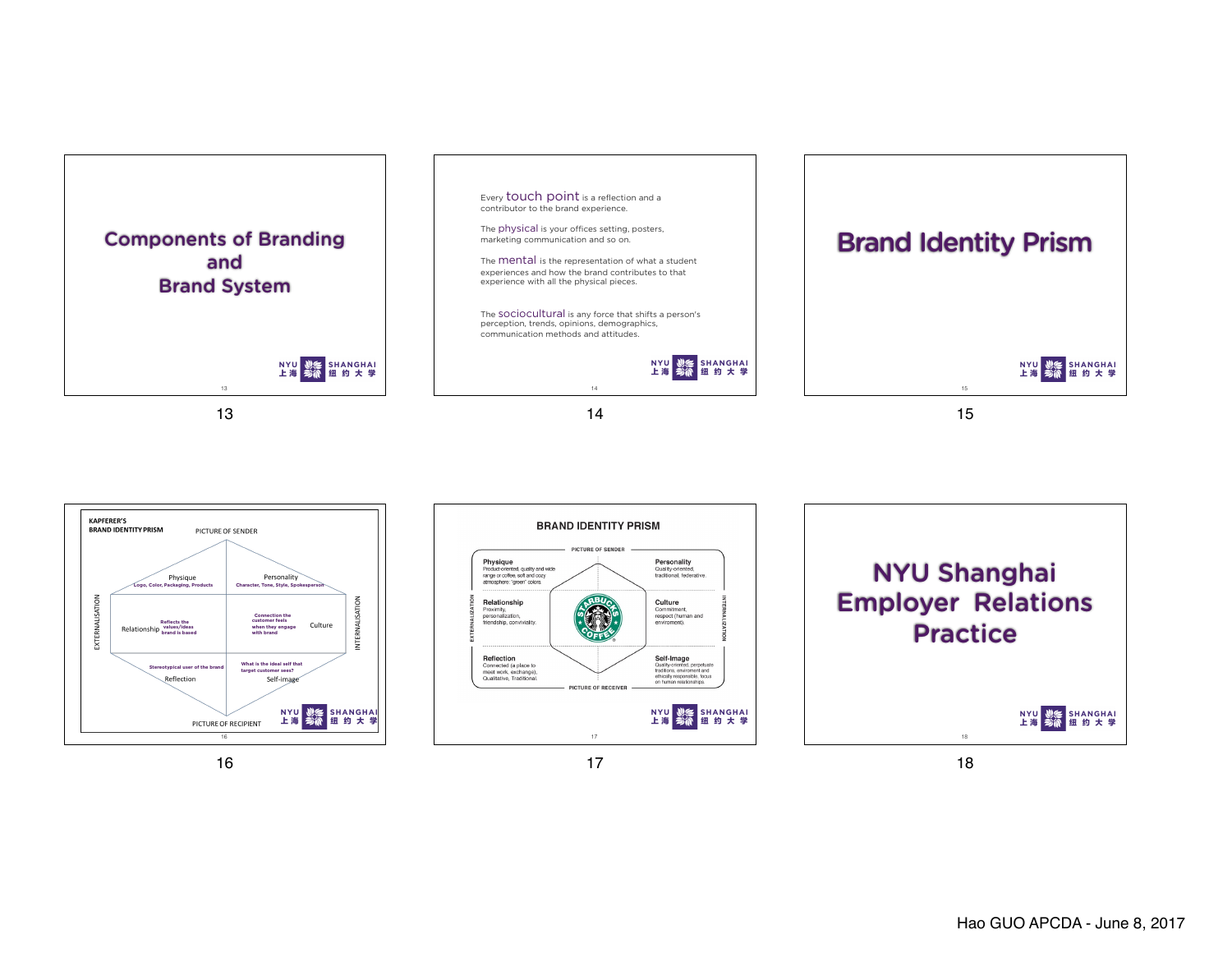